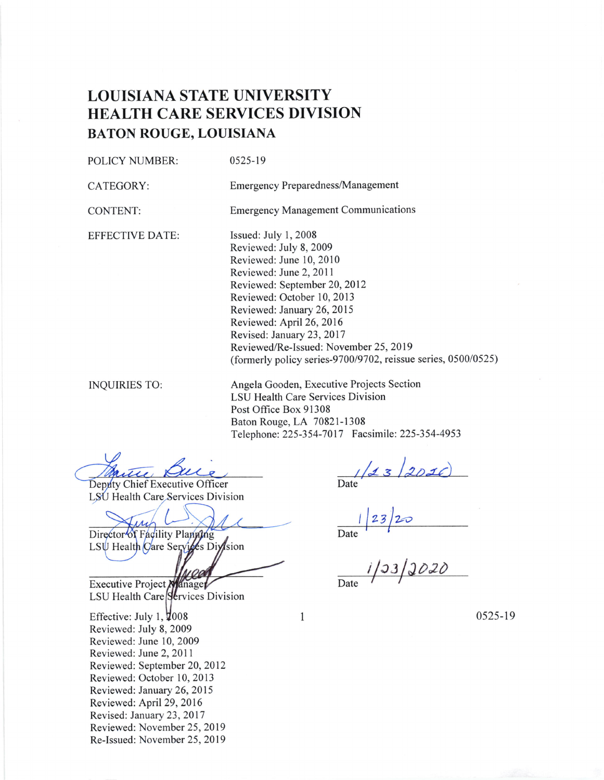# LOUISIANA STATE UNIVERSITY HEALTH CARE SERVICES DIVISION BATON ROUGE, LOUISIANA

POLICY NUMBER: 0525-19

CATEGORY:

Emergency Preparedness/Management Emergency Management Communications

CONTENT:

EFFECTIVE DATE:

Issued: July l, 2008 Reviewed: July 8,2009 Reviewed: June 10,2010 Reviewed: June2,20ll Reviewed: September 20, 2012 Reviewed: October 10, 2013 Reviewed: January 26, 2015 Reviewed: April 26, 2016 Revised: January 23, 2017 Reviewed/Re-Issued: November 25, 2019 (formerly policy series-9700/9702, reissue series, 0500/0525)

INQUIRIES TO:

Angela Gooden, Executive Projects Section LSU Health Care Services Division Post Office Box 91308 Baton Rouge, LA 70821-1308 Telephone: 225-354-7017 Facsimile: 225-354-4953

Duc tte

Deputy Chief Executive Officer LSU Health Care Services Division

Director of Facility Planning LSU Health Care Services Division

Executive Project Manager LSU Health Care Services Division

Reviewed: July 8, 2009 Reviewed: June 10, 2009 Reviewed: June 2, 201I Reviewed: September 20, 2012 Reviewed: October 10, 2013 Reviewed: January 26, 2015 Reviewed: April 29, 2016 Revised: January 23, 2017 Reviewed: November 25, 2019 Re-Issued: November 25, 2019 Effective: July 1,  $\sqrt{2008}$ 

Date

 $1|23|20$ Date  $\vert$ 

 $\overline{\text{Date}}$ 1/23/2020

0525-19

 $\mathbf{1}$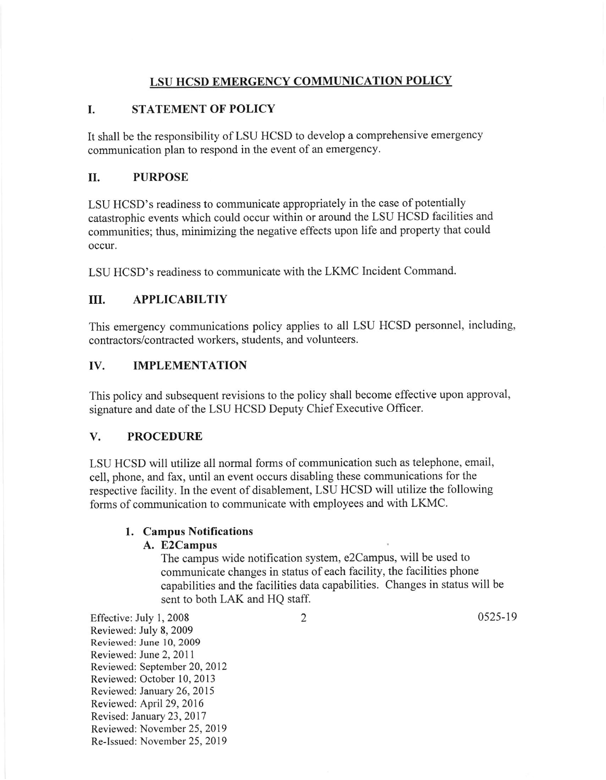# LSU HCSD EMERGENCY COMMUNICATION POLICY

## I. STATEMENT OF POLICY

It shall be the responsibility of LSU HCSD to develop a comprehensive emergency communication plan to respond in the event of an emergency.

### II. PURPOSE

LSU HCSD's readiness to communicate appropriately in the case of potentially catastrophic events which could occur within or around the LSU HCSD facilities and communities; thus, minimizing the negative effects upon life and property that could occur.

LSU HCSD's readiness to communicate with the LKMC Incident Command'

# UI. APPLICABILTIY

This emergency communications policy applies to all LSU HCSD personnel, including, contractors/contracted workers, students, and volunteers.

## Iv. IMPLEMENTATION

This policy and subsequent revisions to the policy shall become effective upon approval, signature and date of the LSU HCSD Deputy Chief Executive Officer.

## V. PROCEDURE

LSU HCSD will utilize all normal forms of communication such as telephone, email, ceil, phone, and fax, until an event occurs disabling these communications for the respective facility. In the event of disablement, LSU HCSD will utilize the following forms of communication to communicate with employees and with LKMC.

#### 1. Campus Notifications

### A. E2Campus

The campus wide notification system, e2campus, will be used to communicate changes in status of each facility, the facilities phone capabilities and the facilities data capabilities. Changes in status will be sent to both LAK and HQ staff.

Effective: July 1, 2008 2 0525-19 Reviewed: July 8, 2009 Reviewed: June 10,2009 Reviewed: June 2, 201 <sup>1</sup> Reviewed: September 20, 2012 Reviewed: October 10, 2013 Reviewed: January 26, 2015 Reviewed: April 29, 2016 Revised: January 23, 2017 Reviewed: November 25, 2019 Re-Issued: November 25, 2019